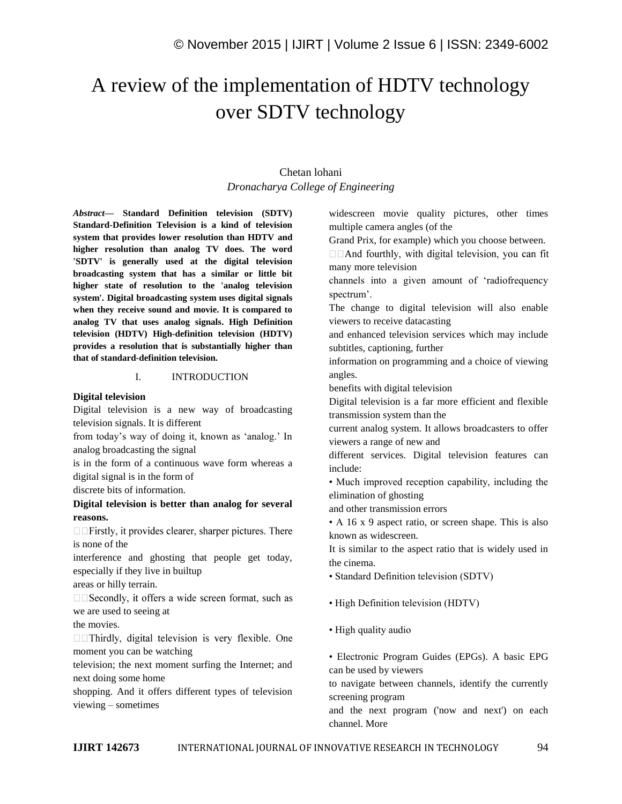# A review of the implementation of HDTV technology over SDTV technology

# Chetan lohani *Dronacharya College of Engineering*

*Abstract—* **Standard Definition television (SDTV) Standard-Definition Television is a kind of television system that provides lower resolution than HDTV and higher resolution than analog TV does. The word 'SDTV' is generally used at the digital television broadcasting system that has a similar or little bit higher state of resolution to the 'analog television system'. Digital broadcasting system uses digital signals when they receive sound and movie. It is compared to analog TV that uses analog signals. High Definition television (HDTV) High-definition television (HDTV) provides a resolution that is substantially higher than that of standard-definition television.**

### I. INTRODUCTION

#### **Digital television**

Digital television is a new way of broadcasting television signals. It is different

from today's way of doing it, known as 'analog.' In analog broadcasting the signal

is in the form of a continuous wave form whereas a digital signal is in the form of

discrete bits of information.

## **Digital television is better than analog for several reasons.**

 $\Box$  Firstly, it provides clearer, sharper pictures. There is none of the

interference and ghosting that people get today, especially if they live in builtup

areas or hilly terrain.

□□Secondly, it offers a wide screen format, such as we are used to seeing at

the movies.

 $\Box$  Thirdly, digital television is very flexible. One moment you can be watching

television; the next moment surfing the Internet; and next doing some home

shopping. And it offers different types of television viewing – sometimes

widescreen movie quality pictures, other times multiple camera angles (of the

Grand Prix, for example) which you choose between.

 $\Box$   $\Box$  And fourthly, with digital television, you can fit many more television

channels into a given amount of 'radiofrequency spectrum'.

The change to digital television will also enable viewers to receive datacasting

and enhanced television services which may include subtitles, captioning, further

information on programming and a choice of viewing angles.

benefits with digital television

Digital television is a far more efficient and flexible transmission system than the

current analog system. It allows broadcasters to offer viewers a range of new and

different services. Digital television features can include:

• Much improved reception capability, including the elimination of ghosting

and other transmission errors

• A 16 x 9 aspect ratio, or screen shape. This is also known as widescreen.

It is similar to the aspect ratio that is widely used in the cinema.

• Standard Definition television (SDTV)

• High Definition television (HDTV)

• High quality audio

• Electronic Program Guides (EPGs). A basic EPG can be used by viewers

to navigate between channels, identify the currently screening program

and the next program ('now and next') on each channel. More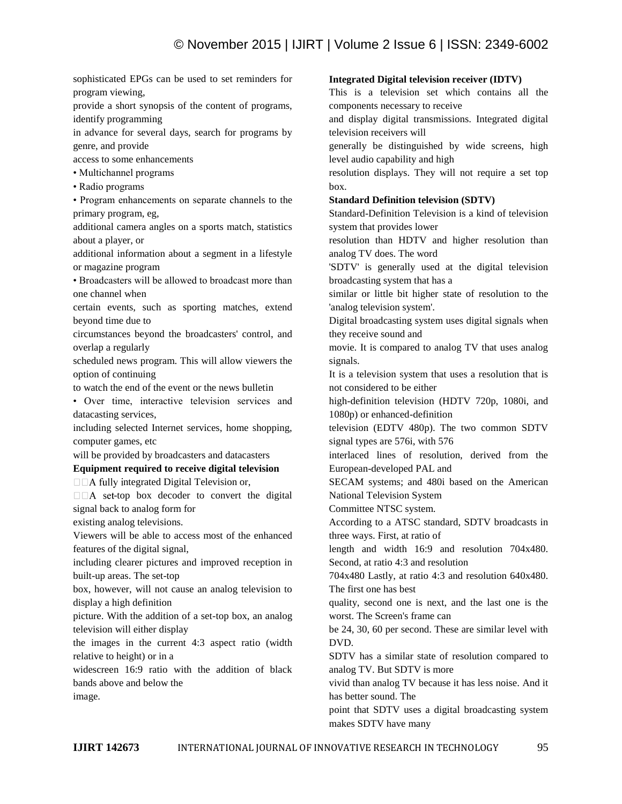sophisticated EPGs can be used to set reminders for program viewing,

provide a short synopsis of the content of programs, identify programming

in advance for several days, search for programs by genre, and provide

- access to some enhancements
- Multichannel programs
- Radio programs

• Program enhancements on separate channels to the primary program, eg,

additional camera angles on a sports match, statistics about a player, or

additional information about a segment in a lifestyle or magazine program

• Broadcasters will be allowed to broadcast more than one channel when

certain events, such as sporting matches, extend beyond time due to

circumstances beyond the broadcasters' control, and overlap a regularly

scheduled news program. This will allow viewers the option of continuing

to watch the end of the event or the news bulletin

• Over time, interactive television services and datacasting services,

including selected Internet services, home shopping, computer games, etc

will be provided by broadcasters and datacasters

**Equipment required to receive digital television**

 $\Box$  A fully integrated Digital Television or,

 $\Box$   $\Box$  A set-top box decoder to convert the digital signal back to analog form for

existing analog televisions.

Viewers will be able to access most of the enhanced features of the digital signal,

including clearer pictures and improved reception in built-up areas. The set-top

box, however, will not cause an analog television to display a high definition

picture. With the addition of a set-top box, an analog television will either display

the images in the current 4:3 aspect ratio (width relative to height) or in a

widescreen 16:9 ratio with the addition of black bands above and below the image.

#### **Integrated Digital television receiver (IDTV)**

This is a television set which contains all the components necessary to receive

and display digital transmissions. Integrated digital television receivers will

generally be distinguished by wide screens, high level audio capability and high

resolution displays. They will not require a set top box.

#### **Standard Definition television (SDTV)**

Standard-Definition Television is a kind of television system that provides lower

resolution than HDTV and higher resolution than analog TV does. The word

'SDTV' is generally used at the digital television broadcasting system that has a

similar or little bit higher state of resolution to the 'analog television system'.

Digital broadcasting system uses digital signals when they receive sound and

movie. It is compared to analog TV that uses analog signals.

It is a television system that uses a resolution that is not considered to be either

high-definition television (HDTV 720p, 1080i, and 1080p) or enhanced-definition

television (EDTV 480p). The two common SDTV signal types are 576i, with 576

interlaced lines of resolution, derived from the European-developed PAL and

SECAM systems; and 480i based on the American National Television System

Committee NTSC system.

According to a ATSC standard, SDTV broadcasts in three ways. First, at ratio of

length and width 16:9 and resolution 704x480. Second, at ratio 4:3 and resolution

704x480 Lastly, at ratio 4:3 and resolution 640x480. The first one has best

quality, second one is next, and the last one is the worst. The Screen's frame can

be 24, 30, 60 per second. These are similar level with DVD.

SDTV has a similar state of resolution compared to analog TV. But SDTV is more

vivid than analog TV because it has less noise. And it has better sound. The

point that SDTV uses a digital broadcasting system makes SDTV have many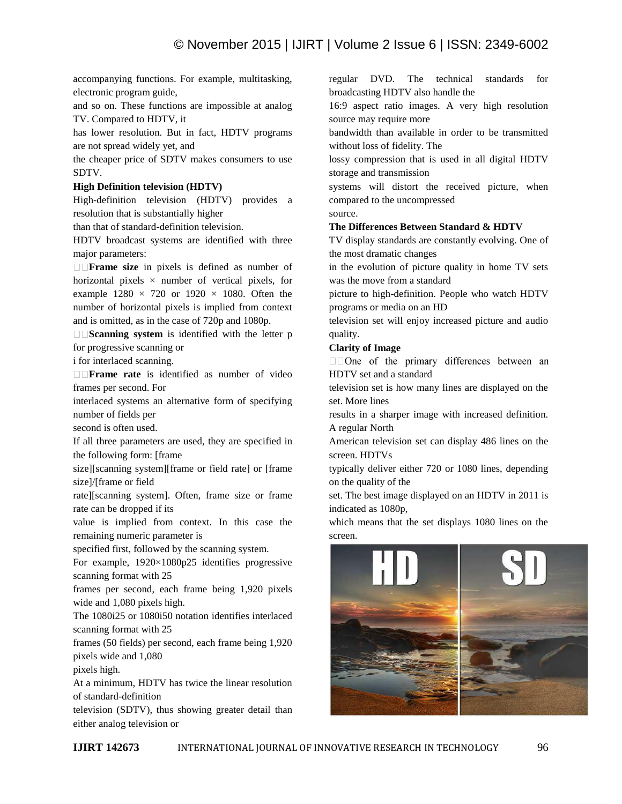accompanying functions. For example, multitasking, electronic program guide,

and so on. These functions are impossible at analog TV. Compared to HDTV, it

has lower resolution. But in fact, HDTV programs are not spread widely yet, and

the cheaper price of SDTV makes consumers to use SDTV.

# **High Definition television (HDTV)**

High-definition television (HDTV) provides a resolution that is substantially higher

than that of standard-definition television.

HDTV broadcast systems are identified with three major parameters:

**Frame size** in pixels is defined as number of horizontal pixels  $\times$  number of vertical pixels, for example  $1280 \times 720$  or  $1920 \times 1080$ . Often the number of horizontal pixels is implied from context and is omitted, as in the case of 720p and 1080p.

**Scanning system** is identified with the letter p for progressive scanning or

i for interlaced scanning.

**Frame rate** is identified as number of video frames per second. For

interlaced systems an alternative form of specifying number of fields per

second is often used.

If all three parameters are used, they are specified in the following form: [frame

size][scanning system][frame or field rate] or [frame size]/[frame or field

rate][scanning system]. Often, frame size or frame rate can be dropped if its

value is implied from context. In this case the remaining numeric parameter is

specified first, followed by the scanning system.

For example, 1920×1080p25 identifies progressive scanning format with 25

frames per second, each frame being 1,920 pixels wide and 1,080 pixels high.

The 1080i25 or 1080i50 notation identifies interlaced scanning format with 25

frames (50 fields) per second, each frame being 1,920 pixels wide and 1,080

pixels high.

At a minimum, HDTV has twice the linear resolution of standard-definition

television (SDTV), thus showing greater detail than either analog television or

regular DVD. The technical standards for broadcasting HDTV also handle the

16:9 aspect ratio images. A very high resolution source may require more

bandwidth than available in order to be transmitted without loss of fidelity. The

lossy compression that is used in all digital HDTV storage and transmission

systems will distort the received picture, when compared to the uncompressed

source.

# **The Differences Between Standard & HDTV**

TV display standards are constantly evolving. One of the most dramatic changes

in the evolution of picture quality in home TV sets was the move from a standard

picture to high-definition. People who watch HDTV programs or media on an HD

television set will enjoy increased picture and audio quality.

# **Clarity of Image**

 $\square$   $\square$   $\Omega$  of the primary differences between an HDTV set and a standard

television set is how many lines are displayed on the set. More lines

results in a sharper image with increased definition. A regular North

American television set can display 486 lines on the screen. HDTVs

typically deliver either 720 or 1080 lines, depending on the quality of the

set. The best image displayed on an HDTV in 2011 is indicated as 1080p,

which means that the set displays 1080 lines on the screen.

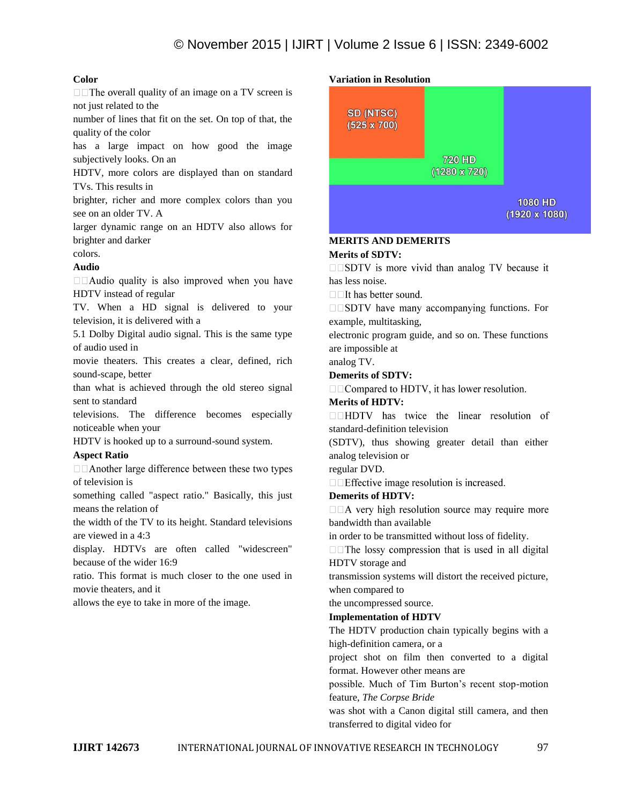# **Color**

 $\Box$  The overall quality of an image on a TV screen is not just related to the

number of lines that fit on the set. On top of that, the quality of the color

has a large impact on how good the image subjectively looks. On an

HDTV, more colors are displayed than on standard TVs. This results in

brighter, richer and more complex colors than you see on an older TV. A

larger dynamic range on an HDTV also allows for brighter and darker

# colors.

# **Audio**

 $\Box$  Audio quality is also improved when you have HDTV instead of regular

TV. When a HD signal is delivered to your television, it is delivered with a

5.1 Dolby Digital audio signal. This is the same type of audio used in

movie theaters. This creates a clear, defined, rich sound-scape, better

than what is achieved through the old stereo signal sent to standard

televisions. The difference becomes especially noticeable when your

HDTV is hooked up to a surround-sound system.

#### **Aspect Ratio**

 $\Box$   $\Box$  Another large difference between these two types of television is

something called "aspect ratio." Basically, this just means the relation of

the width of the TV to its height. Standard televisions are viewed in a 4:3

display. HDTVs are often called "widescreen" because of the wider 16:9

ratio. This format is much closer to the one used in movie theaters, and it

allows the eye to take in more of the image.

#### **Variation in Resolution**



### **MERITS AND DEMERITS Merits of SDTV:**

 $\square$   $\square$  SDTV is more vivid than analog TV because it has less noise.

 $\Box$  It has better sound.

 $\square$   $\square$   $S$ DTV have many accompanying functions. For example, multitasking,

electronic program guide, and so on. These functions are impossible at

analog TV.

### **Demerits of SDTV:**

 $\Box$  Compared to HDTV, it has lower resolution.

## **Merits of HDTV:**

 $\Box$ HDTV has twice the linear resolution of standard-definition television

(SDTV), thus showing greater detail than either analog television or

## regular DVD.

 $\Box$  Effective image resolution is increased.

# **Demerits of HDTV:**

 $\Box$   $\Box$  A very high resolution source may require more bandwidth than available

in order to be transmitted without loss of fidelity.

 $\Box$  The lossy compression that is used in all digital HDTV storage and

transmission systems will distort the received picture, when compared to

the uncompressed source.

#### **Implementation of HDTV**

The HDTV production chain typically begins with a high-definition camera, or a

project shot on film then converted to a digital format. However other means are

possible. Much of Tim Burton's recent stop-motion feature, *The Corpse Bride*

was shot with a Canon digital still camera, and then transferred to digital video for